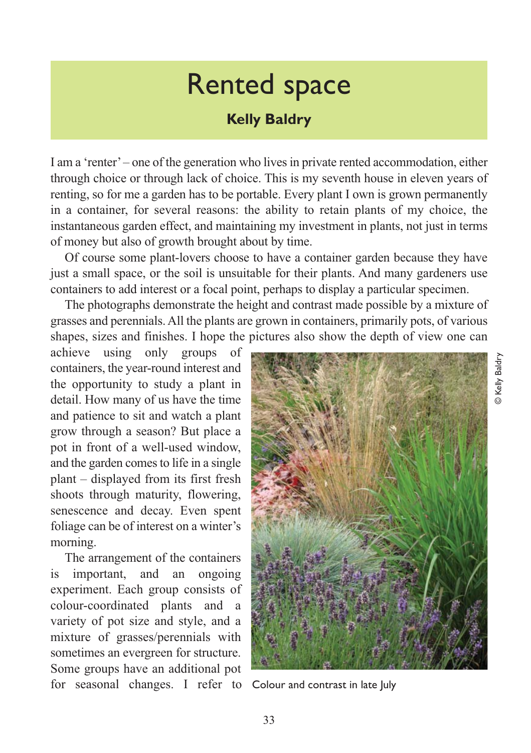## Rented space

## **Kelly Baldry**

I am a 'renter' – one of the generation who lives in private rented accommodation, either through choice or through lack of choice. This is my seventh house in eleven years of renting, so for me a garden has to be portable. Every plant I own is grown permanently in a container, for several reasons: the ability to retain plants of my choice, the instantaneous garden effect, and maintaining my investment in plants, not just in terms of money but also of growth brought about by time.

Of course some plant-lovers choose to have a container garden because they have just a small space, or the soil is unsuitable for their plants. And many gardeners use containers to add interest or a focal point, perhaps to display a particular specimen.

The photographs demonstrate the height and contrast made possible by a mixture of grasses and perennials. All the plants are grown in containers, primarily pots, of various shapes, sizes and finishes. I hope the pictures also show the depth of view one can

achieve using only groups of containers, the year-round interest and the opportunity to study a plant in detail. How many of us have the time and patience to sit and watch a plant grow through a season? But place a pot in front of a well-used window, and the garden comes to life in a single plant – displayed from its first fresh shoots through maturity, flowering, senescence and decay. Even spent foliage can be of interest on a winter's morning.

The arrangement of the containers is important, and an ongoing experiment. Each group consists of colour-coordinated plants and a variety of pot size and style, and a mixture of grasses/perennials with sometimes an evergreen for structure. Some groups have an additional pot for seasonal changes. I refer to Colour and contrast in late July

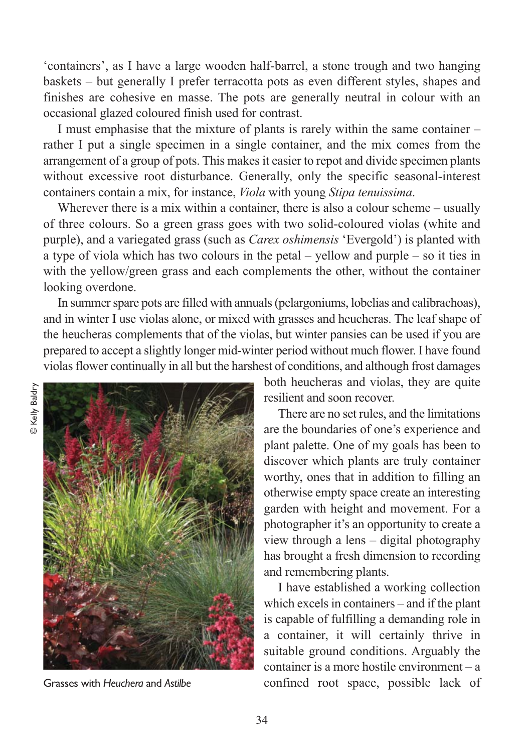'containers', as I have a large wooden half-barrel, a stone trough and two hanging baskets – but generally I prefer terracotta pots as even different styles, shapes and finishes are cohesive en masse. The pots are generally neutral in colour with an occasional glazed coloured finish used for contrast.

I must emphasise that the mixture of plants is rarely within the same container – rather I put a single specimen in a single container, and the mix comes from the arrangement of a group of pots. This makes it easier to repot and divide specimen plants without excessive root disturbance. Generally, only the specific seasonal-interest containers contain a mix, for instance, *Viola* with young *Stipa tenuissima*.

Wherever there is a mix within a container, there is also a colour scheme – usually of three colours. So a green grass goes with two solid-coloured violas (white and purple), and a variegated grass (such as *Carex oshimensis* 'Evergold') is planted with a type of viola which has two colours in the petal – yellow and purple – so it ties in with the yellow/green grass and each complements the other, without the container looking overdone.

In summer spare pots are filled with annuals (pelargoniums, lobelias and calibrachoas), and in winter I use violas alone, or mixed with grasses and heucheras. The leaf shape of the heucheras complements that of the violas, but winter pansies can be used if you are prepared to accept a slightly longer mid-winter period without much flower. I have found violas flower continually in all but the harshest of conditions, and although frost damages

**D** Kelly Baldry © Kelly Baldry



both heucheras and violas, they are quite resilient and soon recover.

There are no set rules, and the limitations are the boundaries of one's experience and plant palette. One of my goals has been to discover which plants are truly container worthy, ones that in addition to filling an otherwise empty space create an interesting garden with height and movement. For a photographer it's an opportunity to create a view through a lens – digital photography has brought a fresh dimension to recording and remembering plants.

I have established a working collection which excels in containers – and if the plant is capable of fulfilling a demanding role in a container, it will certainly thrive in suitable ground conditions. Arguably the container is a more hostile environment – a Grasses with *Heuchera* and *Astilbe* confined root space, possible lack of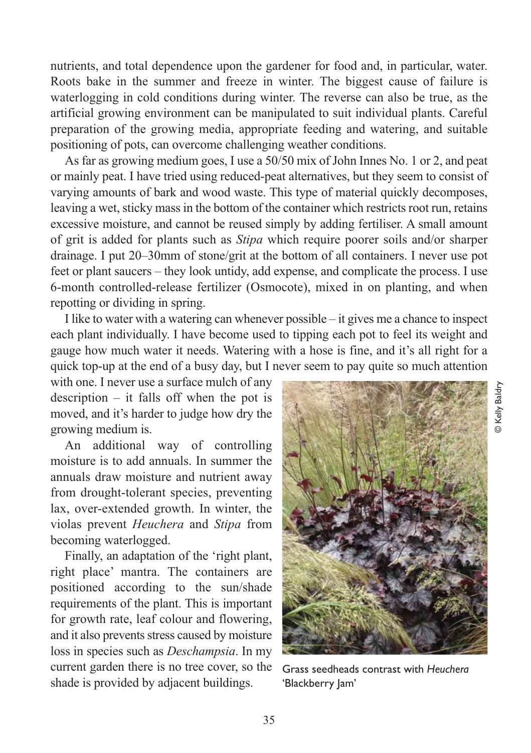nutrients, and total dependence upon the gardener for food and, in particular, water. Roots bake in the summer and freeze in winter. The biggest cause of failure is waterlogging in cold conditions during winter. The reverse can also be true, as the artificial growing environment can be manipulated to suit individual plants. Careful preparation of the growing media, appropriate feeding and watering, and suitable positioning of pots, can overcome challenging weather conditions.

As far as growing medium goes, I use a 50/50 mix of John Innes No. 1 or 2, and peat or mainly peat. I have tried using reduced-peat alternatives, but they seem to consist of varying amounts of bark and wood waste. This type of material quickly decomposes, leaving a wet, sticky mass in the bottom of the container which restricts root run, retains excessive moisture, and cannot be reused simply by adding fertiliser. A small amount of grit is added for plants such as *Stipa* which require poorer soils and/or sharper drainage. I put 20–30mm of stone/grit at the bottom of all containers. I never use pot feet or plant saucers – they look untidy, add expense, and complicate the process. I use 6-month controlled-release fertilizer (Osmocote), mixed in on planting, and when repotting or dividing in spring.

I like to water with a watering can whenever possible – it gives me a chance to inspect each plant individually. I have become used to tipping each pot to feel its weight and gauge how much water it needs. Watering with a hose is fine, and it's all right for a quick top-up at the end of a busy day, but I never seem to pay quite so much attention

with one. I never use a surface mulch of any description – it falls off when the pot is moved, and it's harder to judge how dry the growing medium is.

An additional way of controlling moisture is to add annuals. In summer the annuals draw moisture and nutrient away from drought-tolerant species, preventing lax, over-extended growth. In winter, the violas prevent *Heuchera* and *Stipa* from becoming waterlogged.

Finally, an adaptation of the 'right plant, right place' mantra. The containers are positioned according to the sun/shade requirements of the plant. This is important for growth rate, leaf colour and flowering, and it also prevents stress caused by moisture loss in species such as *Deschampsia*. In my current garden there is no tree cover, so the shade is provided by adjacent buildings.



Grass seedheads contrast with *Heuchera* 'Blackberry Jam'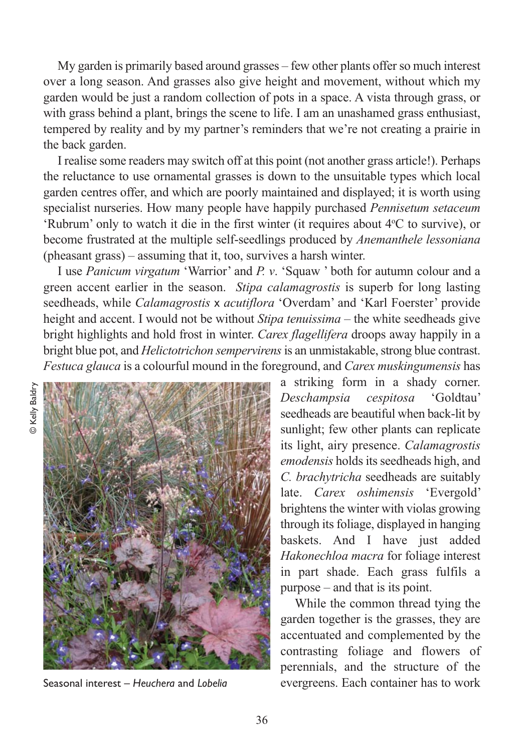My garden is primarily based around grasses – few other plants offer so much interest over a long season. And grasses also give height and movement, without which my garden would be just a random collection of pots in a space. A vista through grass, or with grass behind a plant, brings the scene to life. I am an unashamed grass enthusiast, tempered by reality and by my partner's reminders that we're not creating a prairie in the back garden.

I realise some readers may switch off at this point (not another grass article!). Perhaps the reluctance to use ornamental grasses is down to the unsuitable types which local garden centres offer, and which are poorly maintained and displayed; it is worth using specialist nurseries. How many people have happily purchased *Pennisetum setaceum* 'Rubrum' only to watch it die in the first winter (it requires about 4°C to survive), or become frustrated at the multiple self-seedlings produced by *Anemanthele lessoniana* (pheasant grass) – assuming that it, too, survives a harsh winter.

I use *Panicum virgatum* 'Warrior' and *P. v*. 'Squaw ' both for autumn colour and a green accent earlier in the season. *Stipa calamagrostis* is superb for long lasting seedheads, while *Calamagrostis* x *acutiflora* 'Overdam' and 'Karl Foerster' provide height and accent. I would not be without *Stipa tenuissima* – the white seedheads give bright highlights and hold frost in winter. *Carex flagellifera* droops away happily in a bright blue pot, and *Helictotrichon sempervirens*is an unmistakable, strong blue contrast. *Festuca glauca* is a colourful mound in the foreground, and *Carex muskingumensis* has



a striking form in a shady corner. *Deschampsia cespitosa* 'Goldtau' seedheads are beautiful when back-lit by sunlight; few other plants can replicate its light, airy presence. *Calamagrostis emodensis* holds its seedheads high, and *C. brachytricha* seedheads are suitably late. *Carex oshimensis* 'Evergold' brightens the winter with violas growing through its foliage, displayed in hanging baskets. And I have just added *Hakonechloa macra* for foliage interest in part shade. Each grass fulfils a purpose – and that is its point.

While the common thread tying the garden together is the grasses, they are accentuated and complemented by the contrasting foliage and flowers of perennials, and the structure of the Seasonal interest – *Heuchera* and *Lobelia* evergreens. Each container has to work